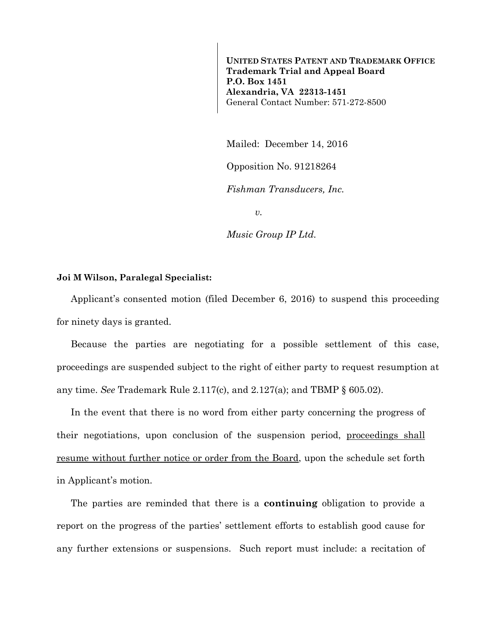**UNITED STATES PATENT AND TRADEMARK OFFICE Trademark Trial and Appeal Board P.O. Box 1451 Alexandria, VA 22313-1451**  General Contact Number: 571-272-8500

Mailed: December 14, 2016

Opposition No. 91218264

*Fishman Transducers, Inc.* 

*v.* 

*Music Group IP Ltd.* 

## **Joi M Wilson, Paralegal Specialist:**

Applicant's consented motion (filed December 6, 2016) to suspend this proceeding for ninety days is granted.

Because the parties are negotiating for a possible settlement of this case, proceedings are suspended subject to the right of either party to request resumption at any time. *See* Trademark Rule 2.117(c), and 2.127(a); and TBMP § 605.02).

In the event that there is no word from either party concerning the progress of their negotiations, upon conclusion of the suspension period, proceedings shall resume without further notice or order from the Board, upon the schedule set forth in Applicant's motion.

The parties are reminded that there is a **continuing** obligation to provide a report on the progress of the parties' settlement efforts to establish good cause for any further extensions or suspensions. Such report must include: a recitation of